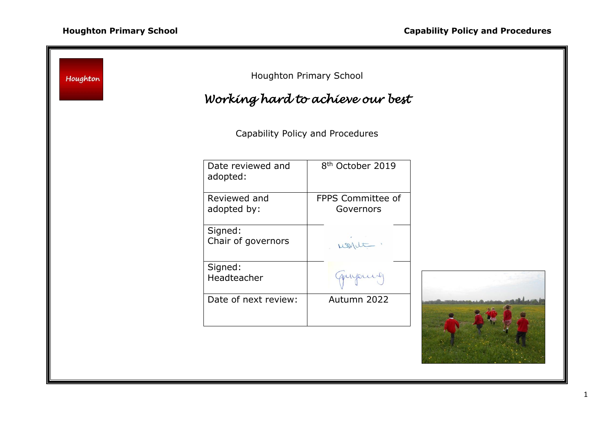÷

| Houghton Primary School<br>Houghton<br>Working hard to achieve our best |                               |                                |  |
|-------------------------------------------------------------------------|-------------------------------|--------------------------------|--|
| Capability Policy and Procedures                                        |                               |                                |  |
|                                                                         | Date reviewed and<br>adopted: | 8 <sup>th</sup> October 2019   |  |
|                                                                         | Reviewed and<br>adopted by:   | FPPS Committee of<br>Governors |  |
|                                                                         | Signed:<br>Chair of governors | nont.                          |  |
|                                                                         | Signed:<br>Headteacher        | gunjours                       |  |
|                                                                         | Date of next review:          | Autumn 2022                    |  |
|                                                                         |                               |                                |  |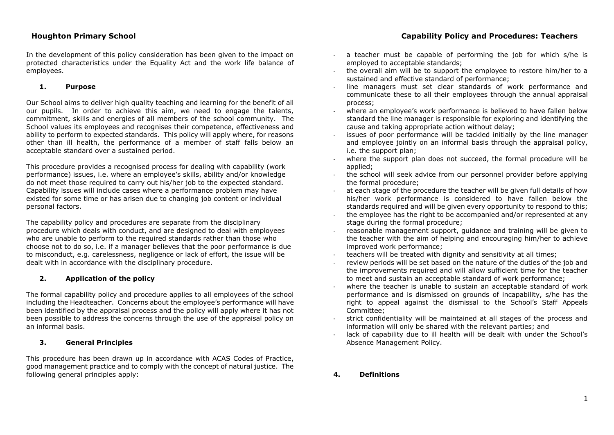In the development of this policy consideration has been given to the impact on protected characteristics under the Equality Act and the work life balance of employees.

# **1. Purpose**

Our School aims to deliver high quality teaching and learning for the benefit of all our pupils. In order to achieve this aim, we need to engage the talents, commitment, skills and energies of all members of the school community. The School values its employees and recognises their competence, effectiveness and ability to perform to expected standards. This policy will apply where, for reasons other than ill health, the performance of a member of staff falls below an acceptable standard over a sustained period.

This procedure provides a recognised process for dealing with capability (work performance) issues, i.e. where an employee's skills, ability and/or knowledge do not meet those required to carry out his/her job to the expected standard. Capability issues will include cases where a performance problem may have existed for some time or has arisen due to changing job content or individual personal factors.

The capability policy and procedures are separate from the disciplinary procedure which deals with conduct, and are designed to deal with employees who are unable to perform to the required standards rather than those who choose not to do so, i.e. if a manager believes that the poor performance is due to misconduct, e.g. carelessness, negligence or lack of effort, the issue will be dealt with in accordance with the disciplinary procedure.

# **2. Application of the policy**

The formal capability policy and procedure applies to all employees of the school including the Headteacher. Concerns about the employee's performance will have been identified by the appraisal process and the policy will apply where it has not been possible to address the concerns through the use of the appraisal policy on an informal basis.

# **3. General Principles**

This procedure has been drawn up in accordance with ACAS Codes of Practice, good management practice and to comply with the concept of natural justice. The following general principles apply:

# **Houghton Primary School Capability Policy and Procedures: Teachers**

- a teacher must be capable of performing the job for which s/he is employed to acceptable standards;
- the overall aim will be to support the employee to restore him/her to a sustained and effective standard of performance;
- line managers must set clear standards of work performance and communicate these to all their employees through the annual appraisal process;
- where an employee's work performance is believed to have fallen below standard the line manager is responsible for exploring and identifying the cause and taking appropriate action without delay;
- issues of poor performance will be tackled initially by the line manager and employee jointly on an informal basis through the appraisal policy, i.e. the support plan;
- where the support plan does not succeed, the formal procedure will be applied;
- the school will seek advice from our personnel provider before applying the formal procedure;
- at each stage of the procedure the teacher will be given full details of how his/her work performance is considered to have fallen below the standards required and will be given every opportunity to respond to this;
- the employee has the right to be accompanied and/or represented at any stage during the formal procedure;
- reasonable management support, guidance and training will be given to the teacher with the aim of helping and encouraging him/her to achieve improved work performance;
- teachers will be treated with dignity and sensitivity at all times;
- review periods will be set based on the nature of the duties of the job and the improvements required and will allow sufficient time for the teacher to meet and sustain an acceptable standard of work performance;
- where the teacher is unable to sustain an acceptable standard of work performance and is dismissed on grounds of incapability, s/he has the right to appeal against the dismissal to the School's Staff Appeals Committee;
- strict confidentiality will be maintained at all stages of the process and information will only be shared with the relevant parties; and
- lack of capability due to ill health will be dealt with under the School's Absence Management Policy.
- **4. Definitions**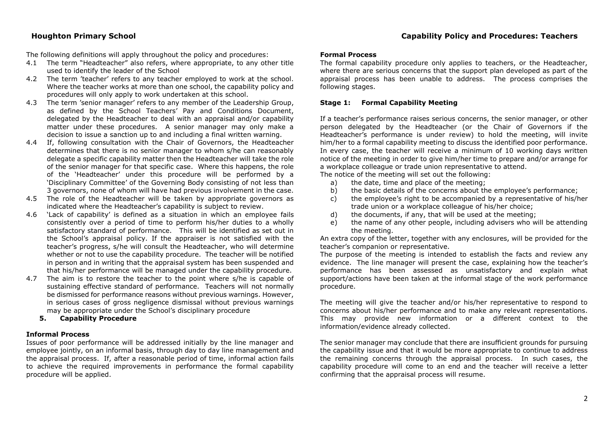# **Houghton Primary School Capability Policy and Procedures: Teachers**

The following definitions will apply throughout the policy and procedures:

- 4.1 The term "Headteacher" also refers, where appropriate, to any other title used to identify the leader of the School
- 4.2 The term 'teacher' refers to any teacher employed to work at the school. Where the teacher works at more than one school, the capability policy and procedures will only apply to work undertaken at this school.
- 4.3 The term 'senior manager' refers to any member of the Leadership Group, as defined by the School Teachers' Pay and Conditions Document, delegated by the Headteacher to deal with an appraisal and/or capability matter under these procedures. A senior manager may only make a decision to issue a sanction up to and including a final written warning.
- 4.4 If, following consultation with the Chair of Governors, the Headteacher determines that there is no senior manager to whom s/he can reasonably delegate a specific capability matter then the Headteacher will take the role of the senior manager for that specific case. Where this happens, the role of the 'Headteacher' under this procedure will be performed by a 'Disciplinary Committee' of the Governing Body consisting of not less than 3 governors, none of whom will have had previous involvement in the case.
- 4.5 The role of the Headteacher will be taken by appropriate governors as indicated where the Headteacher's capability is subject to review.
- 4.6 'Lack of capability' is defined as a situation in which an employee fails consistently over a period of time to perform his/her duties to a wholly satisfactory standard of performance. This will be identified as set out in the School's appraisal policy. If the appraiser is not satisfied with the teacher's progress, s/he will consult the Headteacher, who will determine whether or not to use the capability procedure. The teacher will be notified in person and in writing that the appraisal system has been suspended and that his/her performance will be managed under the capability procedure.
- 4.7 The aim is to restore the teacher to the point where s/he is capable of sustaining effective standard of performance. Teachers will not normally be dismissed for performance reasons without previous warnings. However, in serious cases of gross negligence dismissal without previous warnings may be appropriate under the School's disciplinary procedure
	- **5. Capability Procedure**

# **Informal Process**

Issues of poor performance will be addressed initially by the line manager and employee jointly, on an informal basis, through day to day line management and the appraisal process. If, after a reasonable period of time, informal action fails to achieve the required improvements in performance the formal capability procedure will be applied.

# **Formal Process**

The formal capability procedure only applies to teachers, or the Headteacher, where there are serious concerns that the support plan developed as part of the appraisal process has been unable to address. The process comprises the following stages.

# **Stage 1: Formal Capability Meeting**

If a teacher's performance raises serious concerns, the senior manager, or other person delegated by the Headteacher (or the Chair of Governors if the Headteacher's performance is under review) to hold the meeting, will invite him/her to a formal capability meeting to discuss the identified poor performance. In every case, the teacher will receive a minimum of 10 working days written notice of the meeting in order to give him/her time to prepare and/or arrange for a workplace colleague or trade union representative to attend.

The notice of the meeting will set out the following:

- a) the date, time and place of the meeting;
- b) the basic details of the concerns about the employee's performance;
- c) the employee's right to be accompanied by a representative of his/her trade union or a workplace colleague of his/her choice;
- d) the documents, if any, that will be used at the meeting;
- e) the name of any other people, including advisers who will be attending the meeting.

An extra copy of the letter, together with any enclosures, will be provided for the teacher's companion or representative.

The purpose of the meeting is intended to establish the facts and review any evidence. The line manager will present the case, explaining how the teacher's performance has been assessed as unsatisfactory and explain what support/actions have been taken at the informal stage of the work performance procedure.

The meeting will give the teacher and/or his/her representative to respond to concerns about his/her performance and to make any relevant representations. This may provide new information or a different context to the information/evidence already collected.

The senior manager may conclude that there are insufficient grounds for pursuing the capability issue and that it would be more appropriate to continue to address the remaining concerns through the appraisal process. In such cases, the capability procedure will come to an end and the teacher will receive a letter confirming that the appraisal process will resume.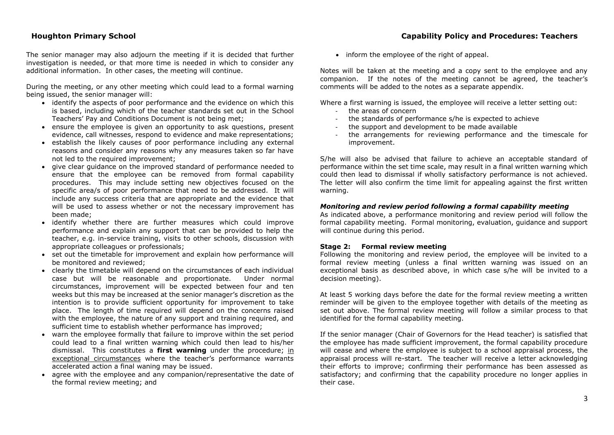The senior manager may also adjourn the meeting if it is decided that further investigation is needed, or that more time is needed in which to consider any additional information. In other cases, the meeting will continue.

During the meeting, or any other meeting which could lead to a formal warning being issued, the senior manager will:

- identify the aspects of poor performance and the evidence on which this is based, including which of the teacher standards set out in the School Teachers' Pay and Conditions Document is not being met;
- ensure the employee is given an opportunity to ask questions, present evidence, call witnesses, respond to evidence and make representations;
- establish the likely causes of poor performance including any external reasons and consider any reasons why any measures taken so far have not led to the required improvement;
- give clear guidance on the improved standard of performance needed to ensure that the employee can be removed from formal capability procedures. This may include setting new objectives focused on the specific area/s of poor performance that need to be addressed. It will include any success criteria that are appropriate and the evidence that will be used to assess whether or not the necessary improvement has been made;
- identify whether there are further measures which could improve performance and explain any support that can be provided to help the teacher, e.g. in-service training, visits to other schools, discussion with appropriate colleagues or professionals;
- set out the timetable for improvement and explain how performance will be monitored and reviewed;
- clearly the timetable will depend on the circumstances of each individual case but will be reasonable and proportionate. Under normal circumstances, improvement will be expected between four and ten weeks but this may be increased at the senior manager's discretion as the intention is to provide sufficient opportunity for improvement to take place. The length of time required will depend on the concerns raised with the employee, the nature of any support and training required, and sufficient time to establish whether performance has improved;
- warn the employee formally that failure to improve within the set period could lead to a final written warning which could then lead to his/her dismissal. This constitutes a **first warning** under the procedure; in exceptional circumstances where the teacher's performance warrants accelerated action a final waning may be issued.
- agree with the employee and any companion/representative the date of the formal review meeting; and

• inform the employee of the right of appeal.

Notes will be taken at the meeting and a copy sent to the employee and any companion. If the notes of the meeting cannot be agreed, the teacher's comments will be added to the notes as a separate appendix.

Where a first warning is issued, the employee will receive a letter setting out:

- the areas of concern
- the standards of performance s/he is expected to achieve
- the support and development to be made available
- the arrangements for reviewing performance and the timescale for improvement.

S/he will also be advised that failure to achieve an acceptable standard of performance within the set time scale, may result in a final written warning which could then lead to dismissal if wholly satisfactory performance is not achieved. The letter will also confirm the time limit for appealing against the first written warning.

### *Monitoring and review period following a formal capability meeting*

As indicated above, a performance monitoring and review period will follow the formal capability meeting. Formal monitoring, evaluation, guidance and support will continue during this period.

### **Stage 2: Formal review meeting**

Following the monitoring and review period, the employee will be invited to a formal review meeting (unless a final written warning was issued on an exceptional basis as described above, in which case s/he will be invited to a decision meeting).

At least 5 working days before the date for the formal review meeting a written reminder will be given to the employee together with details of the meeting as set out above. The formal review meeting will follow a similar process to that identified for the formal capability meeting.

If the senior manager (Chair of Governors for the Head teacher) is satisfied that the employee has made sufficient improvement, the formal capability procedure will cease and where the employee is subject to a school appraisal process, the appraisal process will re-start. The teacher will receive a letter acknowledging their efforts to improve; confirming their performance has been assessed as satisfactory; and confirming that the capability procedure no longer applies in their case.

# **Houghton Primary School Capability Policy and Procedures: Teachers**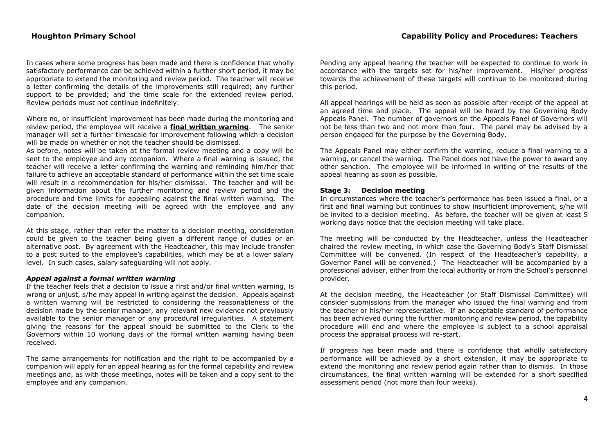In cases where some progress has been made and there is confidence that wholly satisfactory performance can be achieved within a further short period, it may be appropriate to extend the monitoring and review period. The teacher will receive a letter confirming the details of the improvements still required; any further support to be provided; and the time scale for the extended review period. Review periods must not continue indefinitely.

Where no, or insufficient improvement has been made during the monitoring and review period, the employee will receive a **final written warning**. The senior manager will set a further timescale for improvement following which a decision will be made on whether or not the teacher should be dismissed.

As before, notes will be taken at the formal review meeting and a copy will be sent to the employee and any companion. Where a final warning is issued, the teacher will receive a letter confirming the warning and reminding him/her that failure to achieve an acceptable standard of performance within the set time scale will result in a recommendation for his/her dismissal. The teacher and will be given information about the further monitoring and review period and the procedure and time limits for appealing against the final written warning. The date of the decision meeting will be agreed with the employee and any companion.

At this stage, rather than refer the matter to a decision meeting, consideration could be given to the teacher being given a different range of duties or an alternative post. By agreement with the Headteacher, this may include transfer to a post suited to the employee's capabilities, which may be at a lower salary level. In such cases, salary safeguarding will not apply.

# *Appeal against a formal written warning*

If the teacher feels that a decision to issue a first and/or final written warning, is wrong or unjust, s/he may appeal in writing against the decision. Appeals against a written warning will be restricted to considering the reasonableness of the decision made by the senior manager, any relevant new evidence not previously available to the senior manager or any procedural irregularities. A statement giving the reasons for the appeal should be submitted to the Clerk to the Governors within 10 working days of the formal written warning having been received.

The same arrangements for notification and the right to be accompanied by a companion will apply for an appeal hearing as for the formal capability and review meetings and, as with those meetings, notes will be taken and a copy sent to the employee and any companion.

Pending any appeal hearing the teacher will be expected to continue to work in accordance with the targets set for his/her improvement. His/her progress towards the achievement of these targets will continue to be monitored during this period.

All appeal hearings will be held as soon as possible after receipt of the appeal at an agreed time and place. The appeal will be heard by the Governing Body Appeals Panel. The number of governors on the Appeals Panel of Governors will not be less than two and not more than four. The panel may be advised by a person engaged for the purpose by the Governing Body.

The Appeals Panel may either confirm the warning, reduce a final warning to a warning, or cancel the warning. The Panel does not have the power to award any other sanction. The employee will be informed in writing of the results of the appeal hearing as soon as possible.

## **Stage 3: Decision meeting**

In circumstances where the teacher's performance has been issued a final, or a first and final warning but continues to show insufficient improvement, s/he will be invited to a decision meeting. As before, the teacher will be given at least 5 working days notice that the decision meeting will take place.

The meeting will be conducted by the Headteacher, unless the Headteacher chaired the review meeting, in which case the Governing Body's Staff Dismissal Committee will be convened. (In respect of the Headteacher's capability, a Governor Panel will be convened.) The Headteacher will be accompanied by a professional adviser, either from the local authority or from the School's personnel provider*.*

At the decision meeting, the Headteacher (or Staff Dismissal Committee) will consider submissions from the manager who issued the final warning and from the teacher or his/her representative. If an acceptable standard of performance has been achieved during the further monitoring and review period, the capability procedure will end and where the employee is subject to a school appraisal process the appraisal process will re-start.

If progress has been made and there is confidence that wholly satisfactory performance will be achieved by a short extension, it may be appropriate to extend the monitoring and review period again rather than to dismiss. In those circumstances, the final written warning will be extended for a short specified assessment period (not more than four weeks).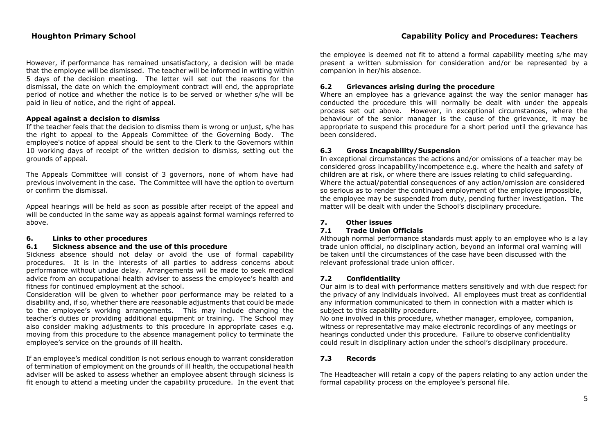# **Houghton Primary School Capability Policy and Procedures: Teachers**

However, if performance has remained unsatisfactory, a decision will be made that the employee will be dismissed. The teacher will be informed in writing within 5 days of the decision meeting. The letter will set out the reasons for the dismissal, the date on which the employment contract will end, the appropriate period of notice and whether the notice is to be served or whether s/he will be paid in lieu of notice, and the right of appeal.

## **Appeal against a decision to dismiss**

If the teacher feels that the decision to dismiss them is wrong or unjust, s/he has the right to appeal to the Appeals Committee of the Governing Body. The employee's notice of appeal should be sent to the Clerk to the Governors within 10 working days of receipt of the written decision to dismiss, setting out the grounds of appeal.

The Appeals Committee will consist of 3 governors, none of whom have had previous involvement in the case. The Committee will have the option to overturn or confirm the dismissal.

Appeal hearings will be held as soon as possible after receipt of the appeal and will be conducted in the same way as appeals against formal warnings referred to above.

# **6. Links to other procedures**

## **6.1 Sickness absence and the use of this procedure**

Sickness absence should not delay or avoid the use of formal capability procedures. It is in the interests of all parties to address concerns about performance without undue delay. Arrangements will be made to seek medical advice from an occupational health adviser to assess the employee's health and fitness for continued employment at the school.

Consideration will be given to whether poor performance may be related to a disability and, if so, whether there are reasonable adjustments that could be made to the employee's working arrangements. This may include changing the teacher's duties or providing additional equipment or training. The School may also consider making adjustments to this procedure in appropriate cases e.g. moving from this procedure to the absence management policy to terminate the employee's service on the grounds of ill health.

If an employee's medical condition is not serious enough to warrant consideration of termination of employment on the grounds of ill health, the occupational health adviser will be asked to assess whether an employee absent through sickness is fit enough to attend a meeting under the capability procedure. In the event that the employee is deemed not fit to attend a formal capability meeting s/he may present a written submission for consideration and/or be represented by a companion in her/his absence.

# **6.2 Grievances arising during the procedure**

Where an employee has a grievance against the way the senior manager has conducted the procedure this will normally be dealt with under the appeals process set out above. However, in exceptional circumstances, where the behaviour of the senior manager is the cause of the grievance, it may be appropriate to suspend this procedure for a short period until the grievance has been considered.

# **6.3 Gross Incapability/Suspension**

In exceptional circumstances the actions and/or omissions of a teacher may be considered gross incapability/incompetence e.g. where the health and safety of children are at risk, or where there are issues relating to child safeguarding. Where the actual/potential consequences of any action/omission are considered so serious as to render the continued employment of the employee impossible, the employee may be suspended from duty, pending further investigation. The matter will be dealt with under the School's disciplinary procedure.

# **7. Other issues**

### **7.1 Trade Union Officials**

Although normal performance standards must apply to an employee who is a lay trade union official, no disciplinary action, beyond an informal oral warning will be taken until the circumstances of the case have been discussed with the relevant professional trade union officer.

# **7.2 Confidentiality**

Our aim is to deal with performance matters sensitively and with due respect for the privacy of any individuals involved. All employees must treat as confidential any information communicated to them in connection with a matter which is subject to this capability procedure.

No one involved in this procedure, whether manager, employee, companion, witness or representative may make electronic recordings of any meetings or hearings conducted under this procedure. Failure to observe confidentiality could result in disciplinary action under the school's disciplinary procedure.

# **7.3 Records**

The Headteacher will retain a copy of the papers relating to any action under the formal capability process on the employee's personal file.